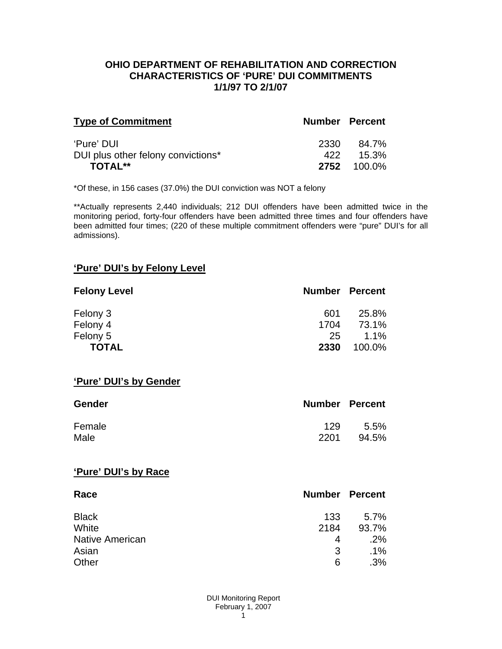#### **OHIO DEPARTMENT OF REHABILITATION AND CORRECTION CHARACTERISTICS OF 'PURE' DUI COMMITMENTS 1/1/97 TO 2/1/07**

| <b>Type of Commitment</b>          | <b>Number Percent</b> |                    |
|------------------------------------|-----------------------|--------------------|
| 'Pure' DUI                         | 2330                  | 84.7%              |
| DUI plus other felony convictions* | 422                   | 15.3%              |
| <b>TOTAL**</b>                     |                       | <b>2752</b> 100.0% |

\*Of these, in 156 cases (37.0%) the DUI conviction was NOT a felony

\*\*Actually represents 2,440 individuals; 212 DUI offenders have been admitted twice in the monitoring period, forty-four offenders have been admitted three times and four offenders have been admitted four times; (220 of these multiple commitment offenders were "pure" DUI's for all admissions).

## **'Pure' DUI's by Felony Level**

| <b>Felony Level</b> | <b>Number Percent</b> |         |
|---------------------|-----------------------|---------|
| Felony 3            | 601                   | 25.8%   |
| Felony 4            | 1704                  | 73.1%   |
| Felony 5            | 25                    | $1.1\%$ |
| <b>TOTAL</b>        | 2330                  | 100.0%  |

#### **'Pure' DUI's by Gender**

| Gender | <b>Number Percent</b> |       |
|--------|-----------------------|-------|
| Female | 129                   | 5.5%  |
| Male   | 2201                  | 94.5% |

#### **'Pure' DUI's by Race**

| Race                   | <b>Number Percent</b> |        |
|------------------------|-----------------------|--------|
| <b>Black</b>           | 133                   | 5.7%   |
| White                  | 2184                  | 93.7%  |
| <b>Native American</b> | 4                     | .2%    |
| Asian                  | 3                     | $.1\%$ |
| Other                  | 6                     | .3%    |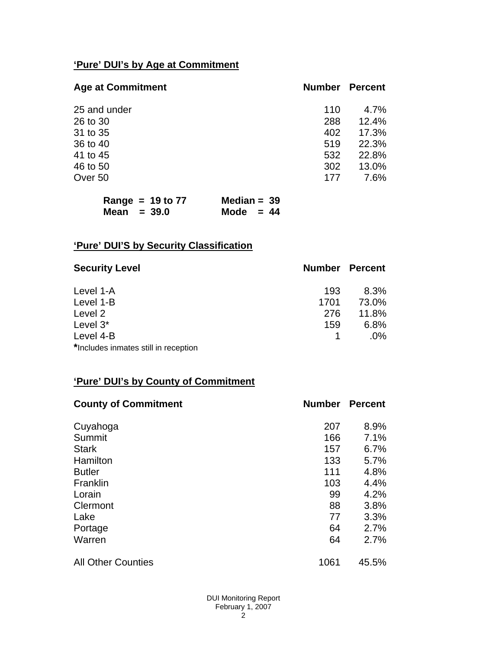# **'Pure' DUI's by Age at Commitment**

| <b>Age at Commitment</b> | <b>Number</b> | <b>Percent</b> |
|--------------------------|---------------|----------------|
| 25 and under             | 110           | 4.7%           |
| 26 to 30                 | 288           | 12.4%          |
| 31 to 35                 | 402           | 17.3%          |
| 36 to 40                 | 519           | 22.3%          |
| 41 to 45                 | 532           | 22.8%          |
| 46 to 50                 | 302           | 13.0%          |
| Over 50                  | 177           | 7.6%           |

| Range = $19$ to 77 | Median = $39$ |  |
|--------------------|---------------|--|
| Mean $=$ 39.0      | Mode $= 44$   |  |

# **'Pure' DUI'S by Security Classification**

| <b>Security Level</b>                | <b>Number Percent</b> |        |
|--------------------------------------|-----------------------|--------|
| Level 1-A                            | 193                   | 8.3%   |
| Level 1-B                            | 1701                  | 73.0%  |
| Level 2                              | 276                   | 11.8%  |
| Level 3*                             | 159                   | 6.8%   |
| Level 4-B                            |                       | $.0\%$ |
| *Includes inmates still in reception |                       |        |

## **'Pure' DUI's by County of Commitment**

| <b>County of Commitment</b> | <b>Number</b> | <b>Percent</b> |
|-----------------------------|---------------|----------------|
| Cuyahoga                    | 207           | 8.9%           |
| Summit                      | 166           | 7.1%           |
| <b>Stark</b>                | 157           | 6.7%           |
| Hamilton                    | 133           | 5.7%           |
| <b>Butler</b>               | 111           | 4.8%           |
| Franklin                    | 103           | 4.4%           |
| Lorain                      | 99            | 4.2%           |
| Clermont                    | 88            | 3.8%           |
| Lake                        | 77            | 3.3%           |
| Portage                     | 64            | 2.7%           |
| Warren                      | 64            | 2.7%           |
| <b>All Other Counties</b>   | 1061          | 45.5%          |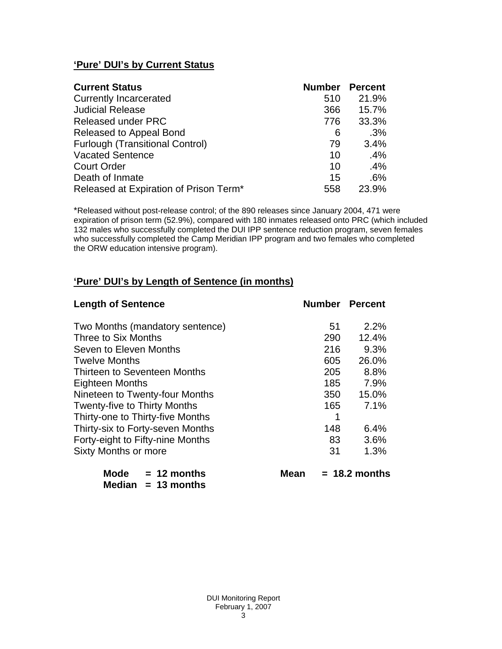## **'Pure' DUI's by Current Status**

| <b>Current Status</b>                  | <b>Number Percent</b> |       |
|----------------------------------------|-----------------------|-------|
| <b>Currently Incarcerated</b>          | 510                   | 21.9% |
| <b>Judicial Release</b>                | 366                   | 15.7% |
| <b>Released under PRC</b>              | 776                   | 33.3% |
| Released to Appeal Bond                | 6                     | .3%   |
| <b>Furlough (Transitional Control)</b> | 79                    | 3.4%  |
| <b>Vacated Sentence</b>                | 10                    | .4%   |
| <b>Court Order</b>                     | 10                    | .4%   |
| Death of Inmate                        | 15                    | .6%   |
| Released at Expiration of Prison Term* | 558                   | 23.9% |

\*Released without post-release control; of the 890 releases since January 2004, 471 were expiration of prison term (52.9%), compared with 180 inmates released onto PRC (which included 132 males who successfully completed the DUI IPP sentence reduction program, seven females who successfully completed the Camp Meridian IPP program and two females who completed the ORW education intensive program).

## **'Pure' DUI's by Length of Sentence (in months)**

| <b>Length of Sentence</b>            | <b>Number Percent</b> |                 |
|--------------------------------------|-----------------------|-----------------|
| Two Months (mandatory sentence)      | 51                    | 2.2%            |
| Three to Six Months                  | 290                   | 12.4%           |
| Seven to Eleven Months               | 216                   | 9.3%            |
| <b>Twelve Months</b>                 | 605                   | 26.0%           |
| Thirteen to Seventeen Months         | 205                   | 8.8%            |
| <b>Eighteen Months</b>               | 185                   | 7.9%            |
| Nineteen to Twenty-four Months       | 350                   | 15.0%           |
| <b>Twenty-five to Thirty Months</b>  | 165                   | 7.1%            |
| Thirty-one to Thirty-five Months     | 1                     |                 |
| Thirty-six to Forty-seven Months     | 148                   | 6.4%            |
| Forty-eight to Fifty-nine Months     | 83                    | 3.6%            |
| Sixty Months or more                 | 31                    | 1.3%            |
| <b>Mode</b><br>$= 12$ months<br>Mean |                       | $= 18.2$ months |

 **Median = 13 months**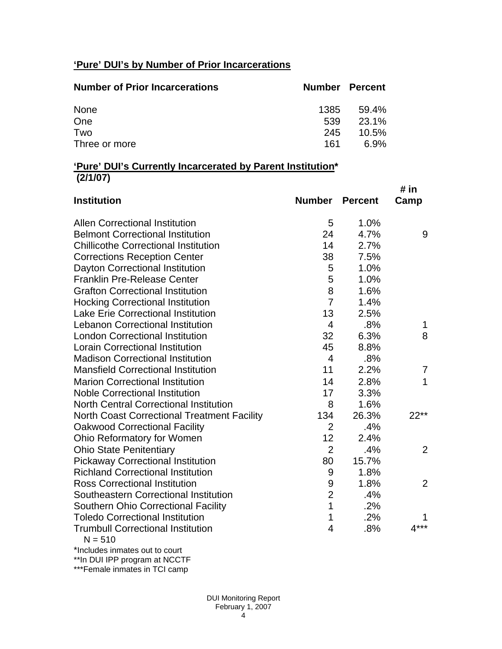# **'Pure' DUI's by Number of Prior Incarcerations**

| <b>Number of Prior Incarcerations</b> | <b>Number Percent</b> |          |
|---------------------------------------|-----------------------|----------|
| <b>None</b>                           | 1385                  | 59.4%    |
| One                                   | 539                   | 23.1%    |
| Two                                   | 245                   | $10.5\%$ |
| Three or more                         | 161                   | 6.9%     |

#### **'Pure' DUI's Currently Incarcerated by Parent Institution\* (2/1/07)**

| 1.0%<br><b>Allen Correctional Institution</b><br>5<br><b>Belmont Correctional Institution</b><br>4.7%<br>24<br>14<br><b>Chillicothe Correctional Institution</b><br>2.7%<br>38<br><b>Corrections Reception Center</b><br>7.5%<br>Dayton Correctional Institution<br>5<br>1.0%<br>5<br>1.0%<br><b>Franklin Pre-Release Center</b><br>8<br><b>Grafton Correctional Institution</b><br>1.6% | Camp |
|------------------------------------------------------------------------------------------------------------------------------------------------------------------------------------------------------------------------------------------------------------------------------------------------------------------------------------------------------------------------------------------|------|
|                                                                                                                                                                                                                                                                                                                                                                                          |      |
|                                                                                                                                                                                                                                                                                                                                                                                          | 9    |
|                                                                                                                                                                                                                                                                                                                                                                                          |      |
|                                                                                                                                                                                                                                                                                                                                                                                          |      |
|                                                                                                                                                                                                                                                                                                                                                                                          |      |
|                                                                                                                                                                                                                                                                                                                                                                                          |      |
|                                                                                                                                                                                                                                                                                                                                                                                          |      |
| $\overline{7}$<br>1.4%<br><b>Hocking Correctional Institution</b>                                                                                                                                                                                                                                                                                                                        |      |
| 13<br><b>Lake Erie Correctional Institution</b><br>2.5%                                                                                                                                                                                                                                                                                                                                  |      |
| <b>Lebanon Correctional Institution</b><br>.8%<br>$\overline{4}$                                                                                                                                                                                                                                                                                                                         | 1    |
| 32<br><b>London Correctional Institution</b><br>6.3%                                                                                                                                                                                                                                                                                                                                     | 8    |
| 45<br><b>Lorain Correctional Institution</b><br>8.8%                                                                                                                                                                                                                                                                                                                                     |      |
| $\overline{4}$<br><b>Madison Correctional Institution</b><br>.8%                                                                                                                                                                                                                                                                                                                         |      |
| 11<br><b>Mansfield Correctional Institution</b><br>2.2%                                                                                                                                                                                                                                                                                                                                  | 7    |
| 2.8%<br><b>Marion Correctional Institution</b><br>14                                                                                                                                                                                                                                                                                                                                     | 1    |
| <b>Noble Correctional Institution</b><br>17<br>3.3%                                                                                                                                                                                                                                                                                                                                      |      |
| <b>North Central Correctional Institution</b><br>8<br>1.6%                                                                                                                                                                                                                                                                                                                               |      |
| 134<br>26.3%<br><b>North Coast Correctional Treatment Facility</b><br>$22**$                                                                                                                                                                                                                                                                                                             |      |
| $\overline{2}$<br>.4%<br><b>Oakwood Correctional Facility</b>                                                                                                                                                                                                                                                                                                                            |      |
| 12<br>Ohio Reformatory for Women<br>2.4%                                                                                                                                                                                                                                                                                                                                                 |      |
| $\overline{2}$<br><b>Ohio State Penitentiary</b><br>.4%                                                                                                                                                                                                                                                                                                                                  | 2    |
| <b>Pickaway Correctional Institution</b><br>15.7%<br>80                                                                                                                                                                                                                                                                                                                                  |      |
| <b>Richland Correctional Institution</b><br>9<br>1.8%                                                                                                                                                                                                                                                                                                                                    |      |
| 9<br><b>Ross Correctional Institution</b><br>1.8%                                                                                                                                                                                                                                                                                                                                        | 2    |
| $\overline{2}$<br>Southeastern Correctional Institution<br>.4%                                                                                                                                                                                                                                                                                                                           |      |
| 1<br><b>Southern Ohio Correctional Facility</b><br>.2%                                                                                                                                                                                                                                                                                                                                   |      |
| 1<br>.2%<br><b>Toledo Correctional Institution</b>                                                                                                                                                                                                                                                                                                                                       |      |
| $4***$<br><b>Trumbull Correctional Institution</b><br>.8%<br>4<br>$N = 510$                                                                                                                                                                                                                                                                                                              |      |

\*Includes inmates out to court

\*\*In DUI IPP program at NCCTF

\*\*\*Female inmates in TCI camp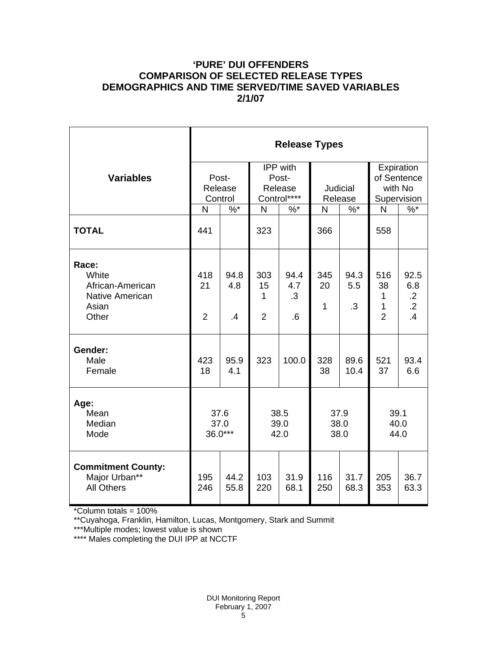## **'PURE' DUI OFFENDERS COMPARISON OF SELECTED RELEASE TYPES DEMOGRAPHICS AND TIME SERVED/TIME SAVED VARIABLES 2/1/07**

|                                                                                | <b>Release Types</b>        |                   |                                                    |                                             |                     |                          |                                                     |                                                   |  |  |
|--------------------------------------------------------------------------------|-----------------------------|-------------------|----------------------------------------------------|---------------------------------------------|---------------------|--------------------------|-----------------------------------------------------|---------------------------------------------------|--|--|
| <b>Variables</b>                                                               | Post-<br>Release<br>Control |                   | <b>IPP</b> with<br>Post-<br>Release<br>Control**** |                                             | Judicial<br>Release |                          | Expiration<br>of Sentence<br>with No<br>Supervision |                                                   |  |  |
|                                                                                | N                           | $%$ *             | $\mathsf{N}$                                       | $%$ *                                       | N                   | $%$ *                    | N                                                   | $\sqrt[6]{6}$                                     |  |  |
| <b>TOTAL</b>                                                                   | 441                         |                   | 323                                                |                                             | 366                 |                          | 558                                                 |                                                   |  |  |
| Race:<br>White<br>African-American<br><b>Native American</b><br>Asian<br>Other | 418<br>21<br>$\overline{2}$ | 94.8<br>4.8<br>.4 | 303<br>15<br>1<br>$\overline{2}$                   | 94.4<br>4.7<br>$\cdot$ 3<br>$.6\phantom{0}$ | 345<br>20<br>1      | 94.3<br>5.5<br>$\cdot$ 3 | 516<br>38<br>1<br>1<br>$\overline{2}$               | 92.5<br>6.8<br>$\cdot$ .2<br>$\overline{2}$<br>.4 |  |  |
| Gender:<br>Male<br>Female                                                      | 423<br>18                   | 95.9<br>4.1       | 323                                                | 100.0                                       | 328<br>38           | 89.6<br>10.4             | 521<br>37                                           | 93.4<br>6.6                                       |  |  |
| Age:<br>Mean<br>Median<br>Mode                                                 | 37.6<br>37.0<br>36.0***     |                   |                                                    | 38.5<br>39.0<br>42.0                        |                     | 37.9<br>38.0<br>38.0     |                                                     | 39.1<br>40.0<br>44.0                              |  |  |
| <b>Commitment County:</b><br>Major Urban**<br><b>All Others</b>                | 195<br>246                  | 44.2<br>55.8      | 103<br>220                                         | 31.9<br>68.1                                | 116<br>250          | 31.7<br>68.3             | 205<br>353                                          | 36.7<br>63.3                                      |  |  |

\*Column totals = 100%

\*\*Cuyahoga, Franklin, Hamilton, Lucas, Montgomery, Stark and Summit

\*\*\*Multiple modes; lowest value is shown

\*\*\*\* Males completing the DUI IPP at NCCTF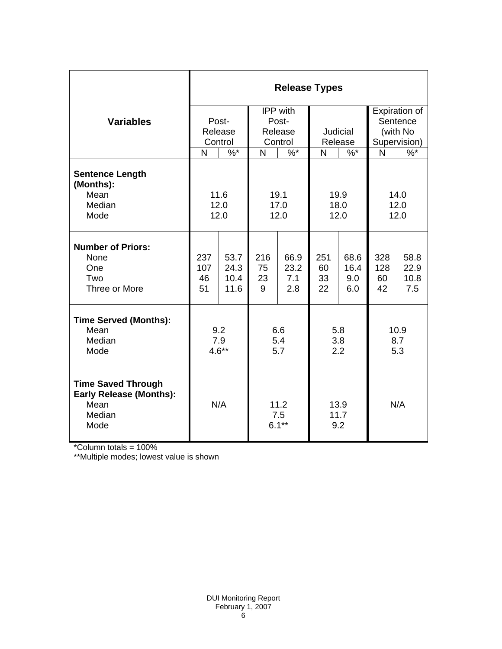|                                                                                       | <b>Release Types</b>        |                              |                                         |                            |                       |                            |                                                       |                             |  |  |
|---------------------------------------------------------------------------------------|-----------------------------|------------------------------|-----------------------------------------|----------------------------|-----------------------|----------------------------|-------------------------------------------------------|-----------------------------|--|--|
| <b>Variables</b>                                                                      | Post-<br>Release<br>Control |                              | IPP with<br>Post-<br>Release<br>Control |                            | Judicial<br>Release   |                            | Expiration of<br>Sentence<br>(with No<br>Supervision) |                             |  |  |
|                                                                                       | N<br>$\%$ *                 |                              | $\sqrt[6]{6}$<br>N                      |                            | N<br>$\%$ *           |                            | N                                                     | $\frac{9}{6}$               |  |  |
| <b>Sentence Length</b><br>(Months):<br>Mean<br>Median<br>Mode                         | 11.6<br>12.0<br>12.0        |                              | 19.1<br>17.0<br>12.0                    |                            | 19.9<br>18.0<br>12.0  |                            | 14.0<br>12.0<br>12.0                                  |                             |  |  |
| <b>Number of Priors:</b><br>None<br>One<br>Two<br>Three or More                       | 237<br>107<br>46<br>51      | 53.7<br>24.3<br>10.4<br>11.6 | 216<br>75<br>23<br>9                    | 66.9<br>23.2<br>7.1<br>2.8 | 251<br>60<br>33<br>22 | 68.6<br>16.4<br>9.0<br>6.0 | 328<br>128<br>60<br>42                                | 58.8<br>22.9<br>10.8<br>7.5 |  |  |
| <b>Time Served (Months):</b><br>Mean<br>Median<br>Mode                                | 9.2<br>7.9<br>$4.6**$       |                              | 6.6<br>5.4<br>5.7                       |                            | 5.8<br>3.8<br>2.2     |                            | 10.9<br>8.7<br>5.3                                    |                             |  |  |
| <b>Time Saved Through</b><br><b>Early Release (Months):</b><br>Mean<br>Median<br>Mode | N/A                         |                              | 11.2<br>7.5<br>$6.1***$                 |                            | 13.9<br>11.7<br>9.2   |                            | N/A                                                   |                             |  |  |

\*Column totals = 100%

\*\*Multiple modes; lowest value is shown